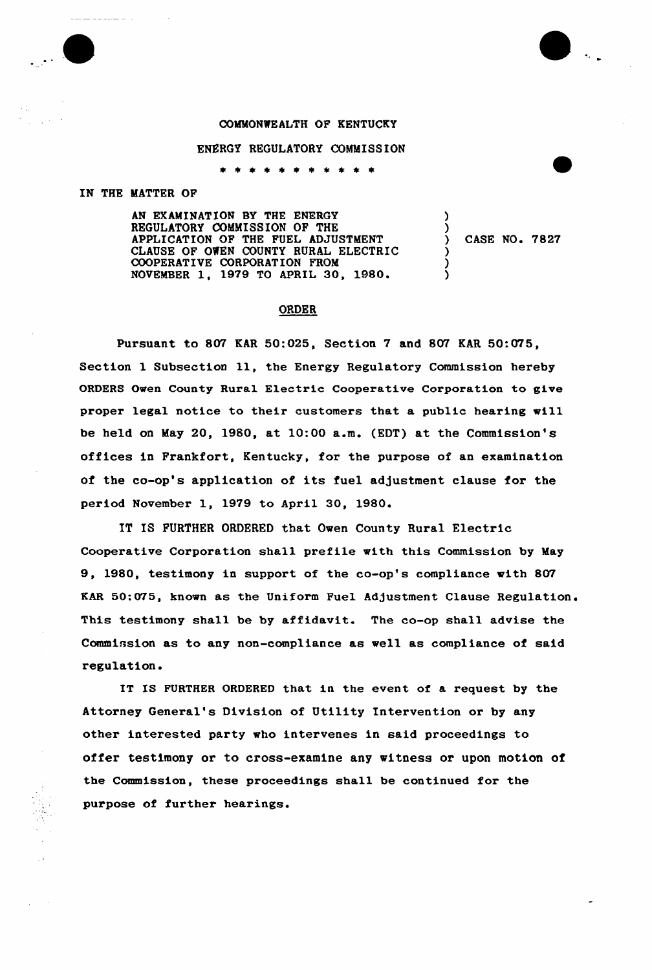## COMMONWEALTH OF KENTUCKY

## ENERGY REGULATORY COMMISSION

\* \* \* \* \* \* \* \*

## IN THE MATTER OF

AN EXAMINATION BY THE ENERGY REGULATORY COMMISSION OF THE APPLICATION OF THE FUEL ADJUSTMENT CLAUSE OF OWEN COUNTY RURAL ELECTRIC COOPERATIVE CORPORATION FROM NOVEMBER 1, 1979 TO APRIL 30, 1980.

) CASE NO <sup>~</sup> 7827

) )

> ) ) )

## ORDER

Pursuant to 807 RAR 50:025, Section 7 and 807 EAR 50:075, Section <sup>1</sup> Subsection ll, the Energy Regulatory Commission hereby ORDERS Owen County Rural Electric Cooperative Corporation to give proper legal notice to their customers that a public hearing will be held on May 20, 1980, at 10:00 a.m. (EDT) at the Commission's offices in Frankfort, Kentucky, for the purpose of an examination of the co-op's application of its fuel adjustment clause for the period November 1, 1979 to April 30, 1980.

IT IS FURTHER ORDERED that Oven County Rural Electric Cooperative Corporation shall prefile with this Commission by May 9, 1980, testimony in support of the co-op's compliance with 807 KAR 50:075, known as the Uniform Fuel Adjustment Clause Regulation. This testimony shall be by affidavit. The co-op shall advise the Commission as to any non-compliance as well as compliance of said regulation.

IT IS FURTHER ORDERED that in the event of a request by the Attorney General's Division of Utility Intervention or by any other interested party vho intervenes in said proceedings to offer testimony or to cross-examine any witness or upon motion of the Commission, these proceedings shall be continued for the purpose of. further hearings.